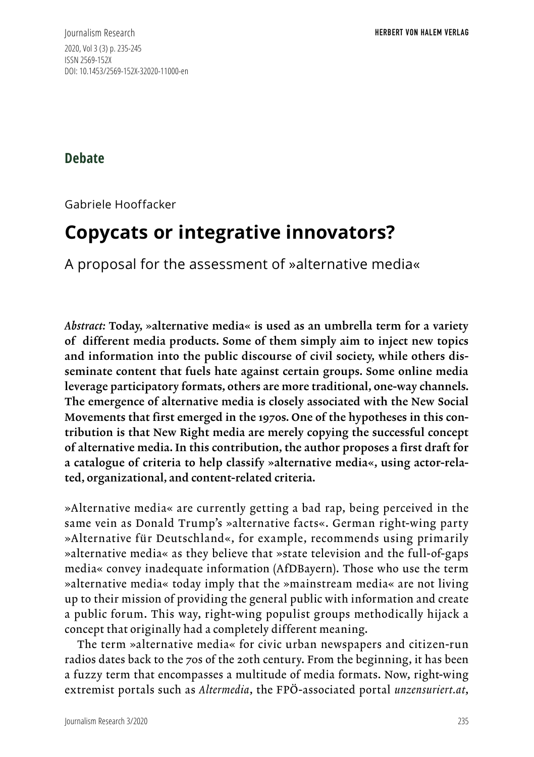Journalism Research **HERBERT VON HALEM VERLAG** 2020, Vol 3 (3) p. 235-245 ISSN 2569-152X DOI: 10.1453/2569-152X-32020-11000-en

**Debate**

Gabriele Hooffacker

# **Copycats or integrative innovators?**

A proposal for the assessment of »alternative media«

*Abstract:* Today, »alternative media« is used as an umbrella term for a variety of different media products. Some of them simply aim to inject new topics and information into the public discourse of civil society, while others disseminate content that fuels hate against certain groups. Some online media leverage participatory formats, others are more traditional, one-way channels. The emergence of alternative media is closely associated with the New Social Movements that first emerged in the 1970s. One of the hypotheses in this contribution is that New Right media are merely copying the successful concept of alternative media. In this contribution, the author proposes a first draft for a catalogue of criteria to help classify »alternative media«, using actor-related, organizational, and content-related criteria.

»Alternative media« are currently getting a bad rap, being perceived in the same vein as Donald Trump's »alternative facts«. German right-wing party »Alternative für Deutschland«, for example, recommends using primarily »alternative media« as they believe that »state television and the full-of-gaps media« convey inadequate information (AfDBayern). Those who use the term »alternative media« today imply that the »mainstream media« are not living up to their mission of providing the general public with information and create a public forum. This way, right-wing populist groups methodically hijack a concept that originally had a completely different meaning.

The term »alternative media« for civic urban newspapers and citizen-run radios dates back to the 70s of the 20th century. From the beginning, it has been a fuzzy term that encompasses a multitude of media formats. Now, right-wing extremist portals such as *Altermedia*, the FPÖ-associated portal *unzensuriert.at*,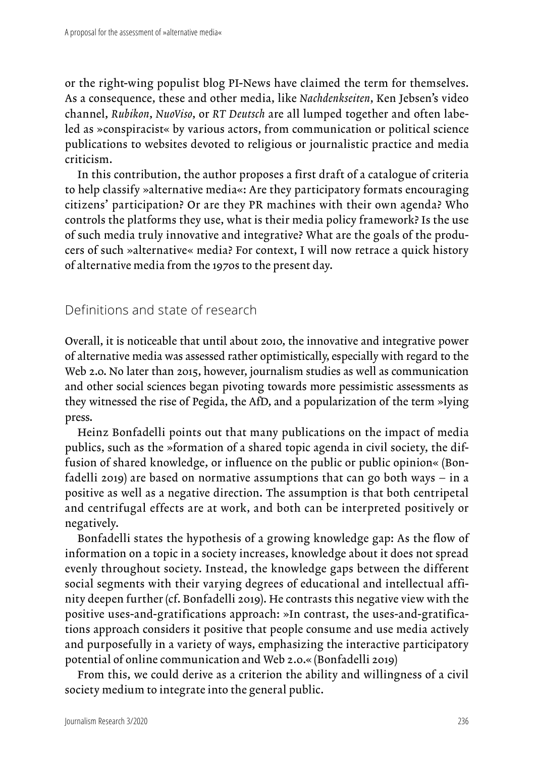or the right-wing populist blog PI-News have claimed the term for themselves. As a consequence, these and other media, like *Nachdenkseiten*, Ken Jebsen's video channel, *Rubikon*, *NuoViso*, or *RT Deutsch* are all lumped together and often labeled as »conspiracist« by various actors, from communication or political science publications to websites devoted to religious or journalistic practice and media criticism.

In this contribution, the author proposes a first draft of a catalogue of criteria to help classify »alternative media«: Are they participatory formats encouraging citizens' participation? Or are they PR machines with their own agenda? Who controls the platforms they use, what is their media policy framework? Is the use of such media truly innovative and integrative? What are the goals of the producers of such »alternative« media? For context, I will now retrace a quick history of alternative media from the 1970s to the present day.

Definitions and state of research

Overall, it is noticeable that until about 2010, the innovative and integrative power of alternative media was assessed rather optimistically, especially with regard to the Web 2.0. No later than 2015, however, journalism studies as well as communication and other social sciences began pivoting towards more pessimistic assessments as they witnessed the rise of Pegida, the AfD, and a popularization of the term »lying press.

Heinz Bonfadelli points out that many publications on the impact of media publics, such as the »formation of a shared topic agenda in civil society, the diffusion of shared knowledge, or influence on the public or public opinion« (Bonfadelli 2019) are based on normative assumptions that can go both ways – in a positive as well as a negative direction. The assumption is that both centripetal and centrifugal effects are at work, and both can be interpreted positively or negatively.

Bonfadelli states the hypothesis of a growing knowledge gap: As the flow of information on a topic in a society increases, knowledge about it does not spread evenly throughout society. Instead, the knowledge gaps between the different social segments with their varying degrees of educational and intellectual affinity deepen further (cf. Bonfadelli 2019). He contrasts this negative view with the positive uses-and-gratifications approach: »In contrast, the uses-and-gratifications approach considers it positive that people consume and use media actively and purposefully in a variety of ways, emphasizing the interactive participatory potential of online communication and Web 2.0.« (Bonfadelli 2019)

From this, we could derive as a criterion the ability and willingness of a civil society medium to integrate into the general public.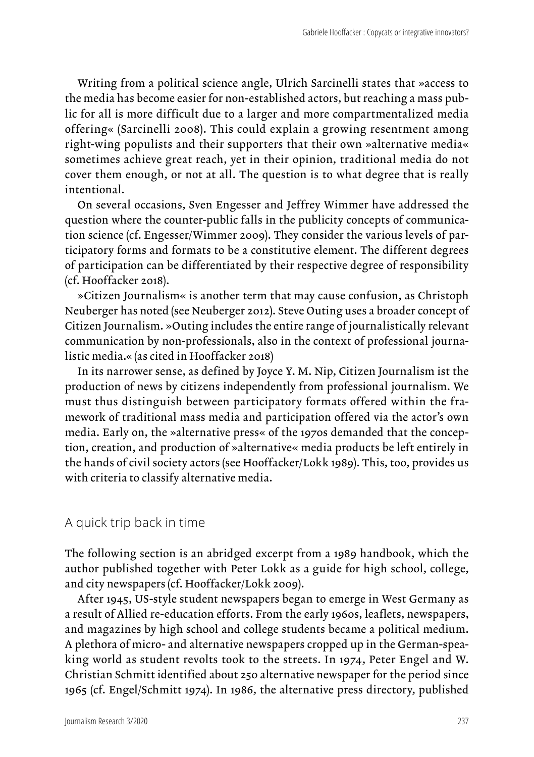Writing from a political science angle, Ulrich Sarcinelli states that »access to the media has become easier for non-established actors, but reaching a mass public for all is more difficult due to a larger and more compartmentalized media offering« (Sarcinelli 2008). This could explain a growing resentment among right-wing populists and their supporters that their own »alternative media« sometimes achieve great reach, yet in their opinion, traditional media do not cover them enough, or not at all. The question is to what degree that is really intentional.

On several occasions, Sven Engesser and Jeffrey Wimmer have addressed the question where the counter-public falls in the publicity concepts of communication science (cf. Engesser/Wimmer 2009). They consider the various levels of participatory forms and formats to be a constitutive element. The different degrees of participation can be differentiated by their respective degree of responsibility (cf. Hooffacker 2018).

»Citizen Journalism« is another term that may cause confusion, as Christoph Neuberger has noted (see Neuberger 2012). Steve Outing uses a broader concept of Citizen Journalism. »Outing includes the entire range of journalistically relevant communication by non-professionals, also in the context of professional journalistic media.« (as cited in Hooffacker 2018)

In its narrower sense, as defined by Joyce Y. M. Nip, Citizen Journalism ist the production of news by citizens independently from professional journalism. We must thus distinguish between participatory formats offered within the framework of traditional mass media and participation offered via the actor's own media. Early on, the »alternative press« of the 1970s demanded that the conception, creation, and production of »alternative« media products be left entirely in the hands of civil society actors (see Hooffacker/Lokk 1989). This, too, provides us with criteria to classify alternative media.

#### A quick trip back in time

The following section is an abridged excerpt from a 1989 handbook, which the author published together with Peter Lokk as a guide for high school, college, and city newspapers (cf. Hooffacker/Lokk 2009).

After 1945, US-style student newspapers began to emerge in West Germany as a result of Allied re-education efforts. From the early 1960s, leaflets, newspapers, and magazines by high school and college students became a political medium. A plethora of micro- and alternative newspapers cropped up in the German-speaking world as student revolts took to the streets. In 1974, Peter Engel and W. Christian Schmitt identified about 250 alternative newspaper for the period since 1965 (cf. Engel/Schmitt 1974). In 1986, the alternative press directory, published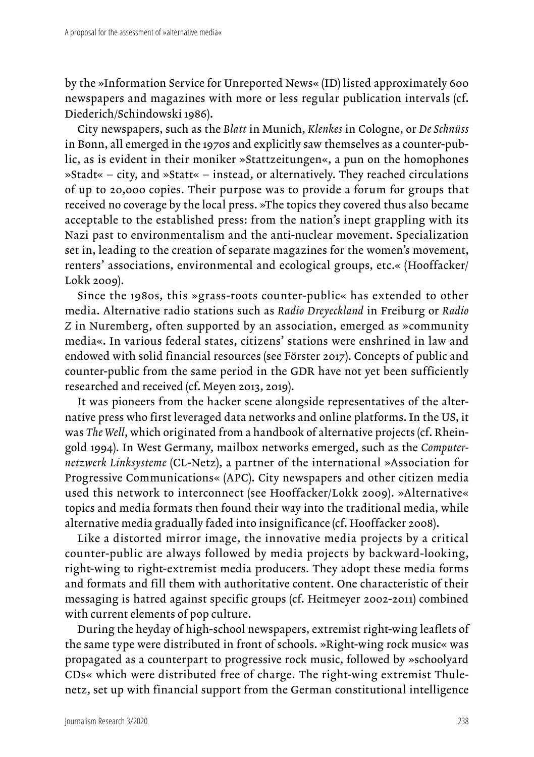by the »Information Service for Unreported News« (ID) listed approximately 600 newspapers and magazines with more or less regular publication intervals (cf. Diederich/Schindowski 1986).

City newspapers, such as the *Blatt* in Munich, *Klenkes* in Cologne, or *De Schnüss* in Bonn, all emerged in the 1970s and explicitly saw themselves as a counter-public, as is evident in their moniker »Stattzeitungen«, a pun on the homophones »Stadt« – city, and »Statt« – instead, or alternatively. They reached circulations of up to 20,000 copies. Their purpose was to provide a forum for groups that received no coverage by the local press. »The topics they covered thus also became acceptable to the established press: from the nation's inept grappling with its Nazi past to environmentalism and the anti-nuclear movement. Specialization set in, leading to the creation of separate magazines for the women's movement, renters' associations, environmental and ecological groups, etc.« (Hooffacker/ Lokk 2009).

Since the 1980s, this »grass-roots counter-public« has extended to other media. Alternative radio stations such as *Radio Dreyeckland* in Freiburg or *Radio Z* in Nuremberg, often supported by an association, emerged as »community media«. In various federal states, citizens' stations were enshrined in law and endowed with solid financial resources (see Förster 2017). Concepts of public and counter-public from the same period in the GDR have not yet been sufficiently researched and received (cf. Meyen 2013, 2019).

It was pioneers from the hacker scene alongside representatives of the alternative press who first leveraged data networks and online platforms. In the US, it was *The Well*, which originated from a handbook of alternative projects (cf. Rheingold 1994). In West Germany, mailbox networks emerged, such as the *Computernetzwerk Linksysteme* (CL-Netz), a partner of the international »Association for Progressive Communications« (APC). City newspapers and other citizen media used this network to interconnect (see Hooffacker/Lokk 2009). »Alternative« topics and media formats then found their way into the traditional media, while alternative media gradually faded into insignificance (cf. Hooffacker 2008).

Like a distorted mirror image, the innovative media projects by a critical counter-public are always followed by media projects by backward-looking, right-wing to right-extremist media producers. They adopt these media forms and formats and fill them with authoritative content. One characteristic of their messaging is hatred against specific groups (cf. Heitmeyer 2002-2011) combined with current elements of pop culture.

During the heyday of high-school newspapers, extremist right-wing leaflets of the same type were distributed in front of schools. »Right-wing rock music« was propagated as a counterpart to progressive rock music, followed by »schoolyard CDs« which were distributed free of charge. The right-wing extremist Thulenetz, set up with financial support from the German constitutional intelligence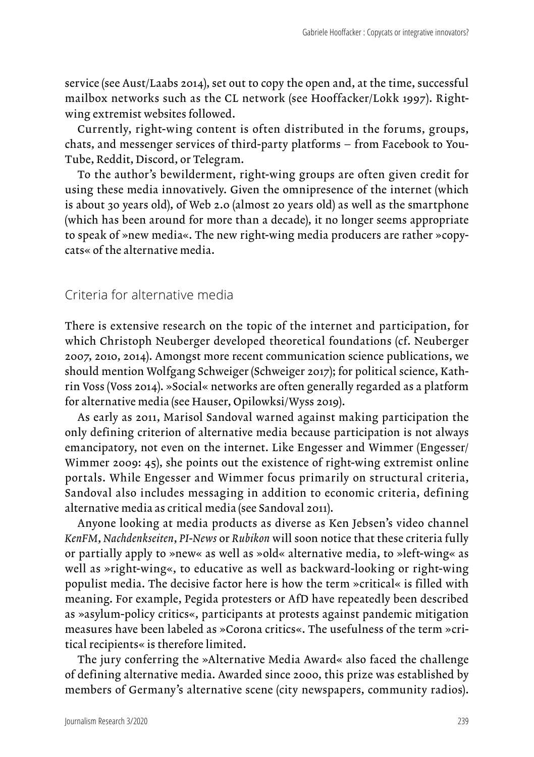service (see Aust/Laabs 2014), set out to copy the open and, at the time, successful mailbox networks such as the CL network (see Hooffacker/Lokk 1997). Rightwing extremist websites followed.

Currently, right-wing content is often distributed in the forums, groups, chats, and messenger services of third-party platforms – from Facebook to You-Tube, Reddit, Discord, or Telegram.

To the author's bewilderment, right-wing groups are often given credit for using these media innovatively. Given the omnipresence of the internet (which is about 30 years old), of Web 2.0 (almost 20 years old) as well as the smartphone (which has been around for more than a decade), it no longer seems appropriate to speak of »new media«. The new right-wing media producers are rather »copycats« of the alternative media.

#### Criteria for alternative media

There is extensive research on the topic of the internet and participation, for which Christoph Neuberger developed theoretical foundations (cf. Neuberger 2007, 2010, 2014). Amongst more recent communication science publications, we should mention Wolfgang Schweiger (Schweiger 2017); for political science, Kathrin Voss (Voss 2014). »Social« networks are often generally regarded as a platform for alternative media (see Hauser, Opilowksi/Wyss 2019).

As early as 2011, Marisol Sandoval warned against making participation the only defining criterion of alternative media because participation is not always emancipatory, not even on the internet. Like Engesser and Wimmer (Engesser/ Wimmer 2009: 45), she points out the existence of right-wing extremist online portals. While Engesser and Wimmer focus primarily on structural criteria, Sandoval also includes messaging in addition to economic criteria, defining alternative media as critical media (see Sandoval 2011).

Anyone looking at media products as diverse as Ken Jebsen's video channel *KenFM*, *Nachdenkseiten*, *PI-News* or *Rubikon* will soon notice that these criteria fully or partially apply to »new« as well as »old« alternative media, to »left-wing« as well as »right-wing«, to educative as well as backward-looking or right-wing populist media. The decisive factor here is how the term »critical« is filled with meaning. For example, Pegida protesters or AfD have repeatedly been described as »asylum-policy critics«, participants at protests against pandemic mitigation measures have been labeled as »Corona critics«. The usefulness of the term »critical recipients« is therefore limited.

The jury conferring the »Alternative Media Award« also faced the challenge of defining alternative media. Awarded since 2000, this prize was established by members of Germany's alternative scene (city newspapers, community radios).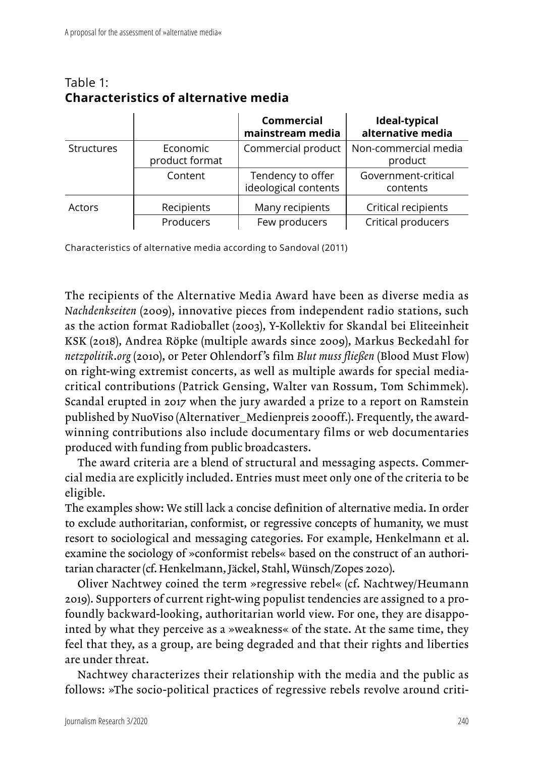|                   |                            | Commercial<br>mainstream media            | Ideal-typical<br>alternative media |
|-------------------|----------------------------|-------------------------------------------|------------------------------------|
| <b>Structures</b> | Economic<br>product format | Commercial product                        | Non-commercial media<br>product    |
|                   | Content                    | Tendency to offer<br>ideological contents | Government-critical<br>contents    |
| Actors            | Recipients                 | Many recipients                           | Critical recipients                |
|                   | Producers                  | Few producers                             | Critical producers                 |

#### Table 1: **Characteristics of alternative media**

Characteristics of alternative media according to Sandoval (2011)

The recipients of the Alternative Media Award have been as diverse media as *Nachdenkseiten* (2009), innovative pieces from independent radio stations, such as the action format Radioballet (2003), Y-Kollektiv for Skandal bei Eliteeinheit KSK (2018), Andrea Röpke (multiple awards since 2009), Markus Beckedahl for *netzpolitik*.*org* (2010), or Peter Ohlendorf 's film *Blut muss fließen* (Blood Must Flow) on right-wing extremist concerts, as well as multiple awards for special mediacritical contributions (Patrick Gensing, Walter van Rossum, Tom Schimmek). Scandal erupted in 2017 when the jury awarded a prize to a report on Ramstein published by NuoViso (Alternativer\_Medienpreis 2000ff.). Frequently, the awardwinning contributions also include documentary films or web documentaries produced with funding from public broadcasters.

The award criteria are a blend of structural and messaging aspects. Commercial media are explicitly included. Entries must meet only one of the criteria to be eligible.

The examples show: We still lack a concise definition of alternative media. In order to exclude authoritarian, conformist, or regressive concepts of humanity, we must resort to sociological and messaging categories. For example, Henkelmann et al. examine the sociology of »conformist rebels« based on the construct of an authoritarian character (cf. Henkelmann, Jäckel, Stahl, Wünsch/Zopes 2020).

Oliver Nachtwey coined the term »regressive rebel« (cf. Nachtwey/Heumann 2019). Supporters of current right-wing populist tendencies are assigned to a profoundly backward-looking, authoritarian world view. For one, they are disappointed by what they perceive as a »weakness« of the state. At the same time, they feel that they, as a group, are being degraded and that their rights and liberties are under threat.

Nachtwey characterizes their relationship with the media and the public as follows: »The socio-political practices of regressive rebels revolve around criti-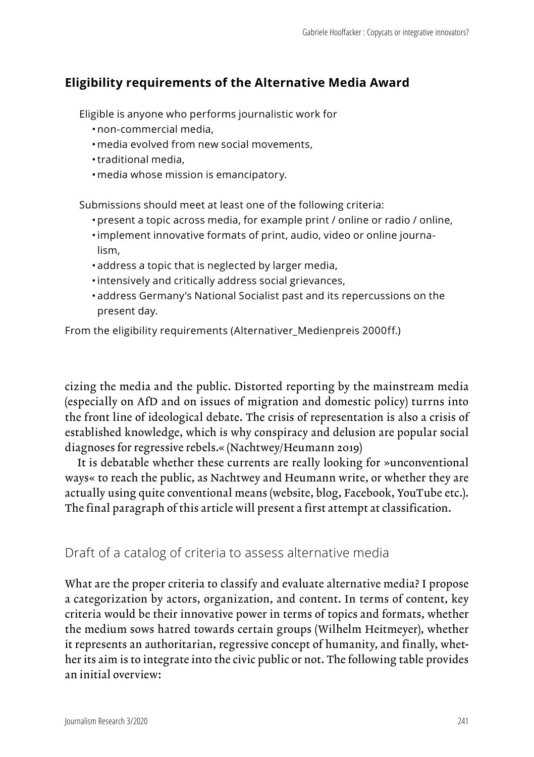## **Eligibility requirements of the Alternative Media Award**

Eligible is anyone who performs journalistic work for

- non-commercial media,
- media evolved from new social movements,
- •traditional media,
- media whose mission is emancipatory.

Submissions should meet at least one of the following criteria:

- present a topic across media, for example print / online or radio / online,
- •implement innovative formats of print, audio, video or online journalism,
- address a topic that is neglected by larger media,
- •intensively and critically address social grievances,
- address Germany's National Socialist past and its repercussions on the present day.

From the eligibility requirements (Alternativer Medienpreis 2000ff.)

cizing the media and the public. Distorted reporting by the mainstream media (especially on AfD and on issues of migration and domestic policy) turrns into the front line of ideological debate. The crisis of representation is also a crisis of established knowledge, which is why conspiracy and delusion are popular social diagnoses for regressive rebels.« (Nachtwey/Heumann 2019)

It is debatable whether these currents are really looking for »unconventional ways« to reach the public, as Nachtwey and Heumann write, or whether they are actually using quite conventional means (website, blog, Facebook, YouTube etc.). The final paragraph of this article will present a first attempt at classification.

### Draft of a catalog of criteria to assess alternative media

What are the proper criteria to classify and evaluate alternative media? I propose a categorization by actors, organization, and content. In terms of content, key criteria would be their innovative power in terms of topics and formats, whether the medium sows hatred towards certain groups (Wilhelm Heitmeyer), whether it represents an authoritarian, regressive concept of humanity, and finally, whether its aim is to integrate into the civic public or not. The following table provides an initial overview: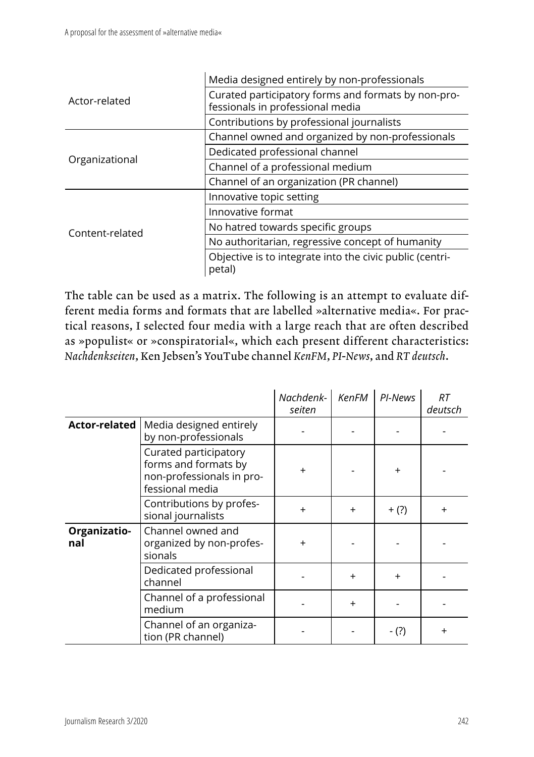|                 | Media designed entirely by non-professionals                                            |  |  |
|-----------------|-----------------------------------------------------------------------------------------|--|--|
| Actor-related   | Curated participatory forms and formats by non-pro-<br>fessionals in professional media |  |  |
|                 | Contributions by professional journalists                                               |  |  |
|                 | Channel owned and organized by non-professionals                                        |  |  |
| Organizational  | Dedicated professional channel                                                          |  |  |
|                 | Channel of a professional medium                                                        |  |  |
|                 | Channel of an organization (PR channel)                                                 |  |  |
|                 | Innovative topic setting                                                                |  |  |
|                 | Innovative format                                                                       |  |  |
| Content-related | No hatred towards specific groups                                                       |  |  |
|                 | No authoritarian, regressive concept of humanity                                        |  |  |
|                 | Objective is to integrate into the civic public (centri-<br>petal)                      |  |  |

The table can be used as a matrix. The following is an attempt to evaluate different media forms and formats that are labelled »alternative media«. For practical reasons, I selected four media with a large reach that are often described as »populist« or »conspiratorial«, which each present different characteristics: *Nachdenkseiten*, Ken Jebsen's YouTube channel *KenFM*, *PI*-*News*, and *RT deutsch*.

|                     |                                                                                               | Nachdenk-<br>seiten | <b>KenFM</b> | PI-News   | RT<br>deutsch |
|---------------------|-----------------------------------------------------------------------------------------------|---------------------|--------------|-----------|---------------|
| Actor-related       | Media designed entirely<br>by non-professionals                                               |                     |              |           |               |
|                     | Curated participatory<br>forms and formats by<br>non-professionals in pro-<br>fessional media | $\ddot{}$           |              | $\ddot{}$ |               |
|                     | Contributions by profes-<br>sional journalists                                                | $\ddot{}$           | $+$          | $+$ (?)   | $\ddot{}$     |
| Organizatio-<br>nal | Channel owned and<br>organized by non-profes-<br>sionals                                      | $\ddot{}$           |              |           |               |
|                     | Dedicated professional<br>channel                                                             |                     | $\ddot{}$    | $\ddot{}$ |               |
|                     | Channel of a professional<br>medium                                                           |                     | $\ddot{}$    |           |               |
|                     | Channel of an organiza-<br>tion (PR channel)                                                  |                     |              | - (?)     | $\ddot{}$     |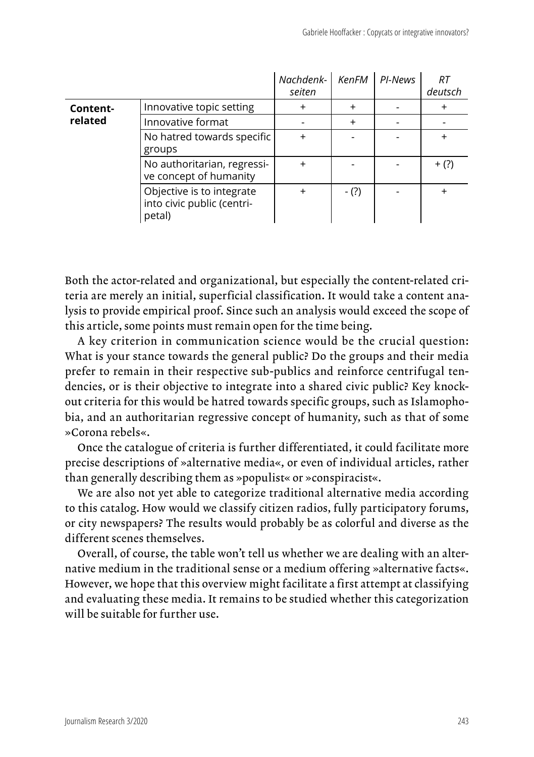|                     |                                                                   | Nachdenk-<br>seiten | KenFM     | PI-News | RT<br>deutsch |
|---------------------|-------------------------------------------------------------------|---------------------|-----------|---------|---------------|
| Content-<br>related | Innovative topic setting                                          | $\ddot{}$           | $\ddot{}$ |         | $\ddot{}$     |
|                     | Innovative format                                                 |                     | $\ddot{}$ |         |               |
|                     | No hatred towards specific<br>groups                              | $\ddot{}$           |           |         |               |
|                     | No authoritarian, regressi-<br>ve concept of humanity             | $\ddot{}$           |           |         | $+$ (?)       |
|                     | Objective is to integrate<br>into civic public (centri-<br>petal) | $\ddot{}$           | $-(?)$    |         |               |

Both the actor-related and organizational, but especially the content-related criteria are merely an initial, superficial classification. It would take a content analysis to provide empirical proof. Since such an analysis would exceed the scope of this article, some points must remain open for the time being.

A key criterion in communication science would be the crucial question: What is your stance towards the general public? Do the groups and their media prefer to remain in their respective sub-publics and reinforce centrifugal tendencies, or is their objective to integrate into a shared civic public? Key knockout criteria for this would be hatred towards specific groups, such as Islamophobia, and an authoritarian regressive concept of humanity, such as that of some »Corona rebels«.

Once the catalogue of criteria is further differentiated, it could facilitate more precise descriptions of »alternative media«, or even of individual articles, rather than generally describing them as »populist« or »conspiracist«.

We are also not yet able to categorize traditional alternative media according to this catalog. How would we classify citizen radios, fully participatory forums, or city newspapers? The results would probably be as colorful and diverse as the different scenes themselves.

Overall, of course, the table won't tell us whether we are dealing with an alternative medium in the traditional sense or a medium offering »alternative facts«. However, we hope that this overview might facilitate a first attempt at classifying and evaluating these media. It remains to be studied whether this categorization will be suitable for further use.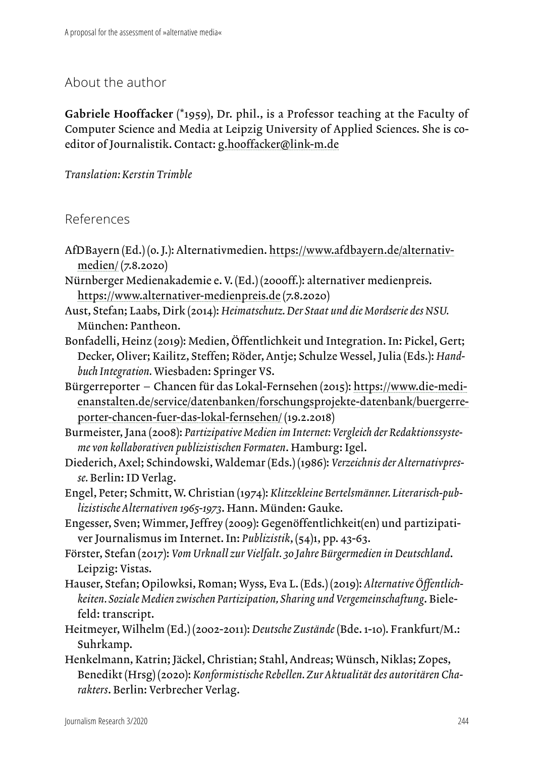## About the author

Gabriele Hooffacker (\*1959), Dr. phil., is a Professor teaching at the Faculty of Computer Science and Media at Leipzig University of Applied Sciences. She is coeditor of Journalistik. Contact: [g.hooffacker@link-m.de](mailto:g.hooffacker@link-m.de)

*Translation: Kerstin Trimble*

References

- AfDBayern (Ed.) (o. J.): Alternativmedien. [https://www.afdbayern.de/alternativ](https://www.afdbayern.de/alternativmedien/)[medien/](https://www.afdbayern.de/alternativmedien/) (7.8.2020)
- Nürnberger Medienakademie e. V. (Ed.) (2000ff.): alternativer medienpreis. <https://www.alternativer-medienpreis.de>(7.8.2020)
- Aust, Stefan; Laabs, Dirk (2014): *Heimatschutz. Der Staat und die Mordserie des NSU.* München: Pantheon.
- Bonfadelli, Heinz (2019): Medien, Öffentlichkeit und Integration. In: Pickel, Gert; Decker, Oliver; Kailitz, Steffen; Röder, Antje; Schulze Wessel, Julia (Eds.): *Handbuch Integration.* Wiesbaden: Springer VS.
- Bürgerreporter Chancen für das Lokal-Fernsehen (2015): [https://www.die-medi](https://www.die-medienanstalten.de/service/datenbanken/forschungsprojekte-datenbank/buergerreporter-chancen-fuer-das-lokal-fernsehen/)[enanstalten.de/service/datenbanken/forschungsprojekte-datenbank/buergerre](https://www.die-medienanstalten.de/service/datenbanken/forschungsprojekte-datenbank/buergerreporter-chancen-fuer-das-lokal-fernsehen/)[porter-chancen-fuer-das-lokal-fernsehen/](https://www.die-medienanstalten.de/service/datenbanken/forschungsprojekte-datenbank/buergerreporter-chancen-fuer-das-lokal-fernsehen/) (19.2.2018)

Burmeister, Jana (2008): *Partizipative Medien im Internet: Vergleich der Redaktionssysteme von kollaborativen publizistischen Formaten*. Hamburg: Igel.

Diederich, Axel; Schindowski, Waldemar (Eds.) (1986): *Verzeichnis der Alternativpresse.* Berlin: ID Verlag.

Engel, Peter; Schmitt, W. Christian (1974): *Klitzekleine Bertelsmänner. Literarisch-publizistische Alternativen 1965-1973*. Hann. Münden: Gauke.

Engesser, Sven; Wimmer, Jeffrey (2009): Gegenöffentlichkeit(en) und partizipativer Journalismus im Internet. In: *Publizistik*, (54)1, pp. 43-63.

- Förster, Stefan (2017): *Vom Urknall zur Vielfalt. 30 Jahre Bürgermedien in Deutschland*. Leipzig: Vistas.
- Hauser, Stefan; Opilowksi, Roman; Wyss, Eva L. (Eds.) (2019): *Alternative Öffentlichkeiten. Soziale Medien zwischen Partizipation, Sharing und Vergemeinschaftung*. Bielefeld: transcript.
- Heitmeyer, Wilhelm (Ed.) (2002-2011): *Deutsche Zustände* (Bde. 1-10). Frankfurt/M.: Suhrkamp.
- Henkelmann, Katrin; Jäckel, Christian; Stahl, Andreas; Wünsch, Niklas; Zopes, Benedikt (Hrsg) (2020): *Konformistische Rebellen. Zur Aktualität des autoritären Charakters*. Berlin: Verbrecher Verlag.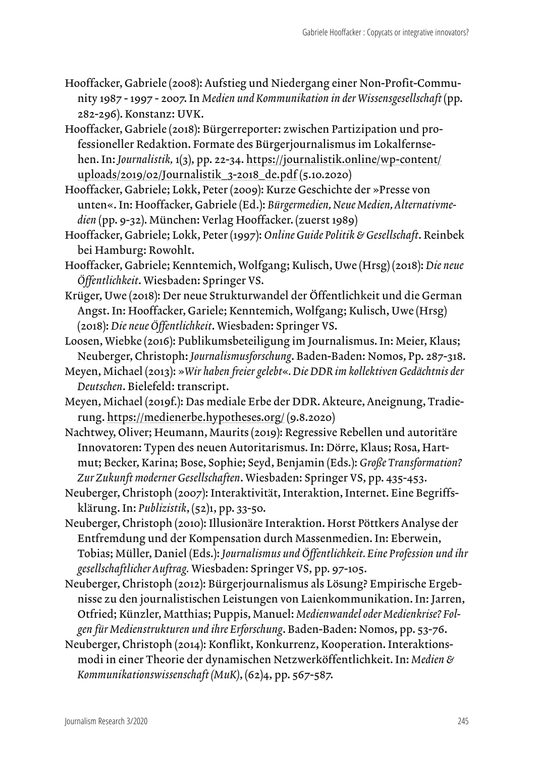- Hooffacker, Gabriele (2008): Aufstieg und Niedergang einer Non-Profit-Community 1987 - 1997 - 2007. In *Medien und Kommunikation in der Wissensgesellschaft* (pp. 282-296). Konstanz: UVK.
- Hooffacker, Gabriele (2018): Bürgerreporter: zwischen Partizipation und professioneller Redaktion. Formate des Bürgerjournalismus im Lokalfernsehen. In: *Journalistik,* 1(3), pp. 22-34. [https://journalistik.online/wp-content/](https://journalistik.online/wp-content/uploads/2019/02/Journalistik_3-2018_de.pdf) [uploads/2019/02/Journalistik\\_3-2018\\_de.pdf](https://journalistik.online/wp-content/uploads/2019/02/Journalistik_3-2018_de.pdf) (5.10.2020)
- Hooffacker, Gabriele; Lokk, Peter (2009): Kurze Geschichte der »Presse von unten«. In: Hooffacker, Gabriele (Ed.): *Bürgermedien, Neue Medien, Alternativmedien* (pp. 9-32). München: Verlag Hooffacker. (zuerst 1989)
- Hooffacker, Gabriele; Lokk, Peter (1997): *Online Guide Politik & Gesellschaft*. Reinbek bei Hamburg: Rowohlt.
- Hooffacker, Gabriele; Kenntemich, Wolfgang; Kulisch, Uwe (Hrsg) (2018): *Die neue Öffentlichkeit*. Wiesbaden: Springer VS.
- Krüger, Uwe (2018): Der neue Strukturwandel der Öffentlichkeit und die German Angst. In: Hooffacker, Gariele; Kenntemich, Wolfgang; Kulisch, Uwe (Hrsg) (2018): *Die neue Öffentlichkeit*. Wiesbaden: Springer VS.
- Loosen, Wiebke (2016): Publikumsbeteiligung im Journalismus. In: Meier, Klaus; Neuberger, Christoph: *Journalismusforschung*. Baden-Baden: Nomos, Pp. 287-318.
- Meyen, Michael (2013): »*Wir haben freier gelebt*«*. Die DDR im kollektiven Gedächtnis der Deutschen*. Bielefeld: transcript.
- Meyen, Michael (2019f.): Das mediale Erbe der DDR. Akteure, Aneignung, Tradierung.<https://medienerbe.hypotheses.org/>(9.8.2020)
- Nachtwey, Oliver; Heumann, Maurits (2019): Regressive Rebellen und autoritäre Innovatoren: Typen des neuen Autoritarismus. In: Dörre, Klaus; Rosa, Hartmut; Becker, Karina; Bose, Sophie; Seyd, Benjamin (Eds.): *Große Transformation? Zur Zukunft moderner Gesellschaften*. Wiesbaden: Springer VS, pp. 435-453.
- Neuberger, Christoph (2007): Interaktivität, Interaktion, Internet. Eine Begriffsklärung. In: *Publizistik*, (52)1, pp. 33-50.
- Neuberger, Christoph (2010): Illusionäre Interaktion. Horst Pöttkers Analyse der Entfremdung und der Kompensation durch Massenmedien. In: Eberwein, Tobias; Müller, Daniel (Eds.): *Journalismus und Öffentlichkeit. Eine Profession und ihr gesellschaftlicher Auftrag.* Wiesbaden: Springer VS, pp. 97-105.
- Neuberger, Christoph (2012): Bürgerjournalismus als Lösung? Empirische Ergebnisse zu den journalistischen Leistungen von Laienkommunikation. In: Jarren, Otfried; Künzler, Matthias; Puppis, Manuel: *Medienwandel oder Medienkrise? Folgen für Medienstrukturen und ihre Erforschung*. Baden-Baden: Nomos, pp. 53-76.
- Neuberger, Christoph (2014): Konflikt, Konkurrenz, Kooperation. Interaktionsmodi in einer Theorie der dynamischen Netzwerköffentlichkeit. In: *Medien & Kommunikationswissenschaft (MuK)*, (62)4, pp. 567-587.